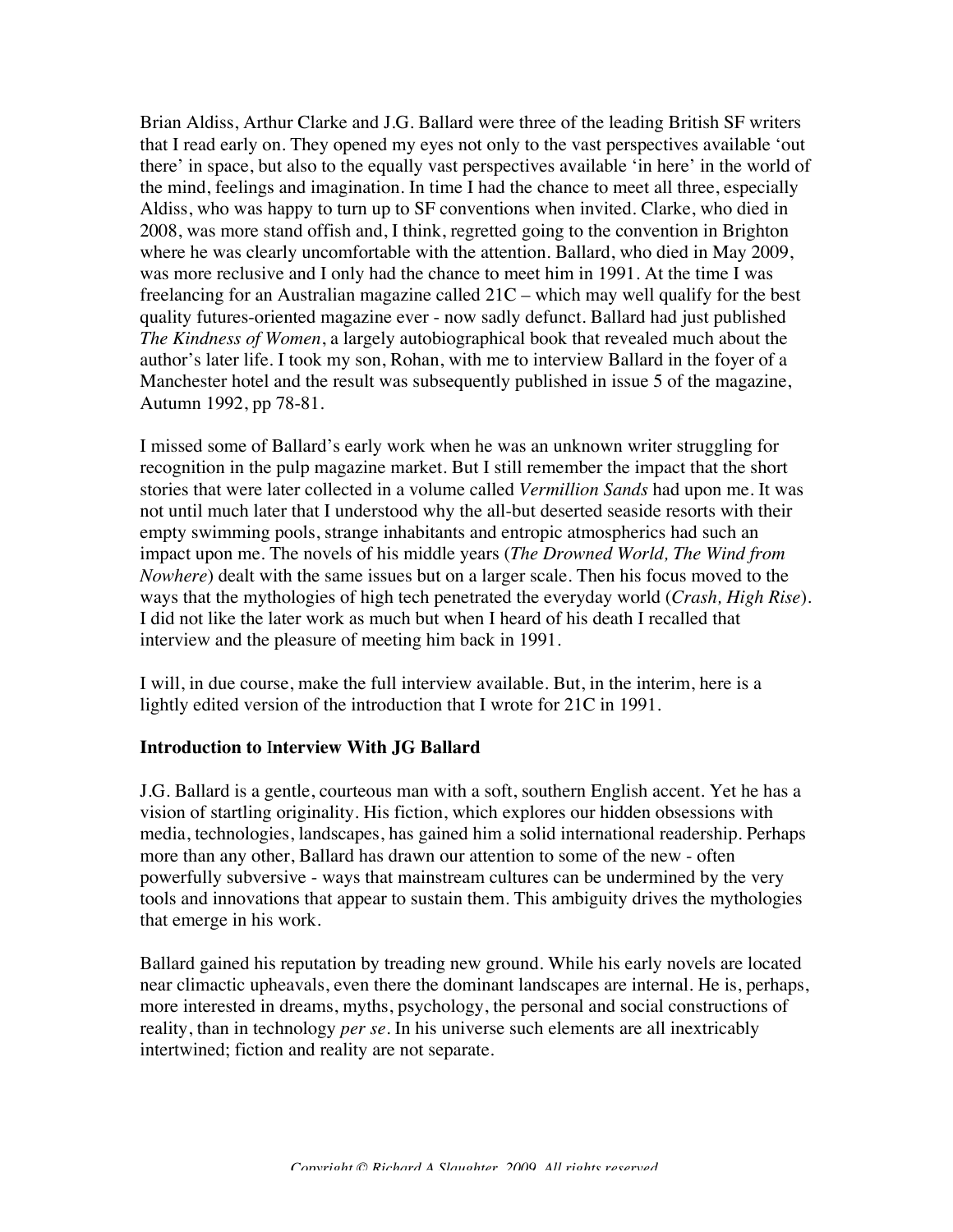Brian Aldiss, Arthur Clarke and J.G. Ballard were three of the leading British SF writers that I read early on. They opened my eyes not only to the vast perspectives available 'out there' in space, but also to the equally vast perspectives available 'in here' in the world of the mind, feelings and imagination. In time I had the chance to meet all three, especially Aldiss, who was happy to turn up to SF conventions when invited. Clarke, who died in 2008, was more stand offish and, I think, regretted going to the convention in Brighton where he was clearly uncomfortable with the attention. Ballard, who died in May 2009, was more reclusive and I only had the chance to meet him in 1991. At the time I was freelancing for an Australian magazine called 21C – which may well qualify for the best quality futures-oriented magazine ever - now sadly defunct. Ballard had just published *The Kindness of Women*, a largely autobiographical book that revealed much about the author's later life. I took my son, Rohan, with me to interview Ballard in the foyer of a Manchester hotel and the result was subsequently published in issue 5 of the magazine, Autumn 1992, pp 78-81.

I missed some of Ballard's early work when he was an unknown writer struggling for recognition in the pulp magazine market. But I still remember the impact that the short stories that were later collected in a volume called *Vermillion Sands* had upon me. It was not until much later that I understood why the all-but deserted seaside resorts with their empty swimming pools, strange inhabitants and entropic atmospherics had such an impact upon me. The novels of his middle years (*The Drowned World, The Wind from Nowhere*) dealt with the same issues but on a larger scale. Then his focus moved to the ways that the mythologies of high tech penetrated the everyday world (*Crash, High Rise*). I did not like the later work as much but when I heard of his death I recalled that interview and the pleasure of meeting him back in 1991.

I will, in due course, make the full interview available. But, in the interim, here is a lightly edited version of the introduction that I wrote for 21C in 1991.

## **Introduction to** I**nterview With JG Ballard**

J.G. Ballard is a gentle, courteous man with a soft, southern English accent. Yet he has a vision of startling originality. His fiction, which explores our hidden obsessions with media, technologies, landscapes, has gained him a solid international readership. Perhaps more than any other, Ballard has drawn our attention to some of the new - often powerfully subversive - ways that mainstream cultures can be undermined by the very tools and innovations that appear to sustain them. This ambiguity drives the mythologies that emerge in his work.

Ballard gained his reputation by treading new ground. While his early novels are located near climactic upheavals, even there the dominant landscapes are internal. He is, perhaps, more interested in dreams, myths, psychology, the personal and social constructions of reality, than in technology *per se.* In his universe such elements are all inextricably intertwined; fiction and reality are not separate.